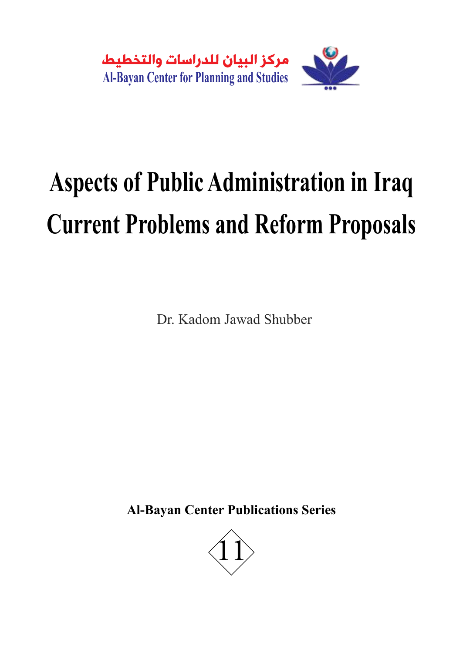

# **Aspects of Public Administration in Iraq Current Problems and Reform Proposals**

Dr. Kadom Jawad Shubber

**Al-Bayan Center Publications Series**

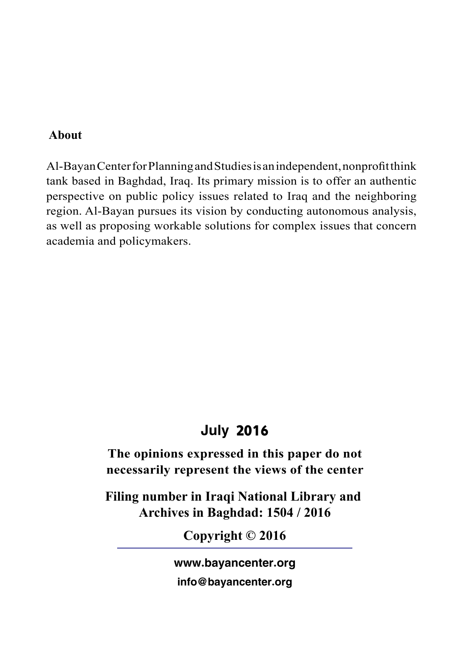# **About**

Al-Bayan Center for Planning and Studies is an independent, nonprofit think tank based in Baghdad, Iraq. Its primary mission is to offer an authentic perspective on public policy issues related to Iraq and the neighboring region. Al-Bayan pursues its vision by conducting autonomous analysis, as well as proposing workable solutions for complex issues that concern academia and policymakers.

# July 2016

**The opinions expressed in this paper do not necessarily represent the views of the center**

**Filing number in Iraqi National Library and Archives in Baghdad: 1504 / 2016**

**Copyright © 2016**

www.bayancenter.org

info@bayancenter.org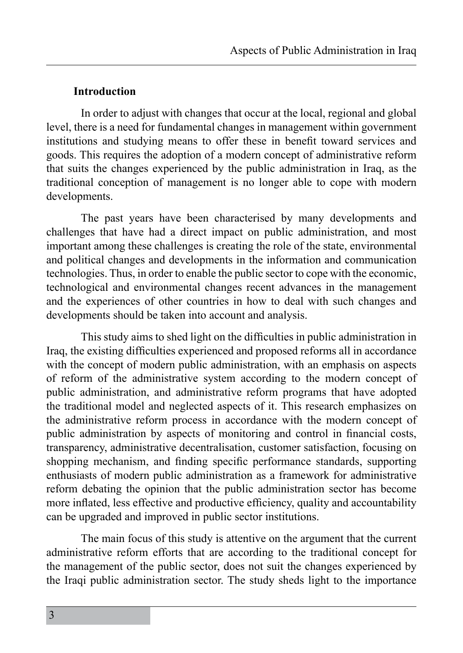#### **Introduction**

In order to adjust with changes that occur at the local, regional and global level, there is a need for fundamental changes in management within government institutions and studying means to offer these in benefit toward services and goods. This requires the adoption of a modern concept of administrative reform that suits the changes experienced by the public administration in Iraq, as the traditional conception of management is no longer able to cope with modern developments.

The past years have been characterised by many developments and challenges that have had a direct impact on public administration, and most important among these challenges is creating the role of the state, environmental and political changes and developments in the information and communication technologies. Thus, in order to enable the public sector to cope with the economic, technological and environmental changes recent advances in the management and the experiences of other countries in how to deal with such changes and developments should be taken into account and analysis.

This study aims to shed light on the difficulties in public administration in Iraq, the existing difficulties experienced and proposed reforms all in accordance with the concept of modern public administration, with an emphasis on aspects of reform of the administrative system according to the modern concept of public administration, and administrative reform programs that have adopted the traditional model and neglected aspects of it. This research emphasizes on the administrative reform process in accordance with the modern concept of public administration by aspects of monitoring and control in financial costs, transparency, administrative decentralisation, customer satisfaction, focusing on shopping mechanism, and finding specific performance standards, supporting enthusiasts of modern public administration as a framework for administrative reform debating the opinion that the public administration sector has become more inflated, less effective and productive efficiency, quality and accountability can be upgraded and improved in public sector institutions.

The main focus of this study is attentive on the argument that the current administrative reform efforts that are according to the traditional concept for the management of the public sector, does not suit the changes experienced by the Iraqi public administration sector. The study sheds light to the importance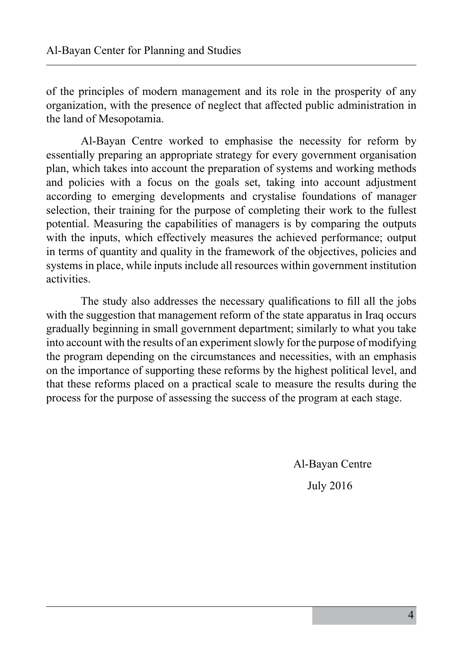of the principles of modern management and its role in the prosperity of any organization, with the presence of neglect that affected public administration in the land of Mesopotamia.

Al-Bayan Centre worked to emphasise the necessity for reform by essentially preparing an appropriate strategy for every government organisation plan, which takes into account the preparation of systems and working methods and policies with a focus on the goals set, taking into account adjustment according to emerging developments and crystalise foundations of manager selection, their training for the purpose of completing their work to the fullest potential. Measuring the capabilities of managers is by comparing the outputs with the inputs, which effectively measures the achieved performance; output in terms of quantity and quality in the framework of the objectives, policies and systems in place, while inputs include all resources within government institution activities.

The study also addresses the necessary qualifications to fill all the jobs with the suggestion that management reform of the state apparatus in Iraq occurs gradually beginning in small government department; similarly to what you take into account with the results of an experiment slowly for the purpose of modifying the program depending on the circumstances and necessities, with an emphasis on the importance of supporting these reforms by the highest political level, and that these reforms placed on a practical scale to measure the results during the process for the purpose of assessing the success of the program at each stage.

Al-Bayan Centre

July 2016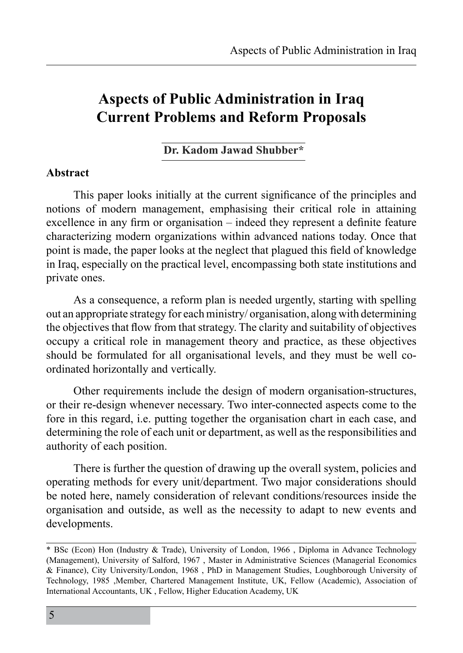# **Aspects of Public Administration in Iraq Current Problems and Reform Proposals**

**Dr. Kadom Jawad Shubber\***

#### **Abstract**

This paper looks initially at the current significance of the principles and notions of modern management, emphasising their critical role in attaining excellence in any firm or organisation – indeed they represent a definite feature characterizing modern organizations within advanced nations today. Once that point is made, the paper looks at the neglect that plagued this field of knowledge in Iraq, especially on the practical level, encompassing both state institutions and private ones.

As a consequence, a reform plan is needed urgently, starting with spelling out an appropriate strategy for each ministry/ organisation, along with determining the objectives that flow from that strategy. The clarity and suitability of objectives occupy a critical role in management theory and practice, as these objectives should be formulated for all organisational levels, and they must be well coordinated horizontally and vertically.

Other requirements include the design of modern organisation-structures, or their re-design whenever necessary. Two inter-connected aspects come to the fore in this regard, i.e. putting together the organisation chart in each case, and determining the role of each unit or department, as well as the responsibilities and authority of each position.

There is further the question of drawing up the overall system, policies and operating methods for every unit/department. Two major considerations should be noted here, namely consideration of relevant conditions/resources inside the organisation and outside, as well as the necessity to adapt to new events and developments.

<sup>\*</sup> BSc (Econ) Hon (Industry & Trade), University of London, 1966 , Diploma in Advance Technology (Management), University of Salford, 1967 , Master in Administrative Sciences (Managerial Economics & Finance), City University/London, 1968 , PhD in Management Studies, Loughborough University of Technology, 1985 ,Member, Chartered Management Institute, UK, Fellow (Academic), Association of International Accountants, UK , Fellow, Higher Education Academy, UK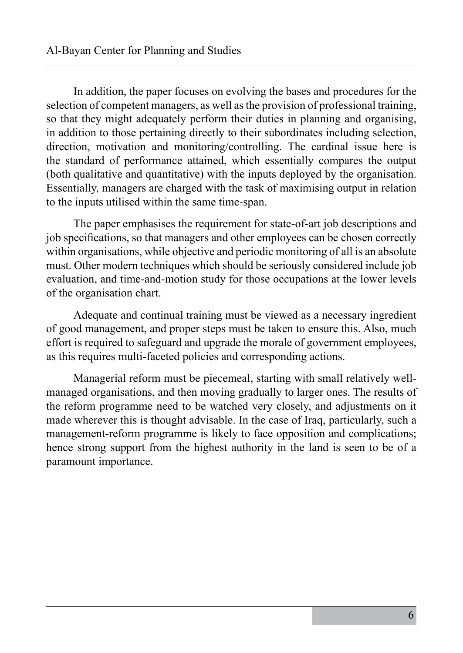In addition, the paper focuses on evolving the bases and procedures for the selection of competent managers, as well as the provision of professional training, so that they might adequately perform their duties in planning and organising, in addition to those pertaining directly to their subordinates including selection, direction, motivation and monitoring/controlling. The cardinal issue here is the standard of performance attained, which essentially compares the output (both qualitative and quantitative) with the inputs deployed by the organisation. Essentially, managers are charged with the task of maximising output in relation to the inputs utilised within the same time-span.

The paper emphasises the requirement for state-of-art job descriptions and job specifications, so that managers and other employees can be chosen correctly within organisations, while objective and periodic monitoring of all is an absolute must. Other modern techniques which should be seriously considered include job evaluation, and time-and-motion study for those occupations at the lower levels of the organisation chart.

Adequate and continual training must be viewed as a necessary ingredient of good management, and proper steps must be taken to ensure this. Also, much effort is required to safeguard and upgrade the morale of government employees, as this requires multi-faceted policies and corresponding actions.

Managerial reform must be piecemeal, starting with small relatively wellmanaged organisations, and then moving gradually to larger ones. The results of the reform programme need to be watched very closely, and adjustments on it made wherever this is thought advisable. In the case of Iraq, particularly, such a management-reform programme is likely to face opposition and complications; hence strong support from the highest authority in the land is seen to be of a paramount importance.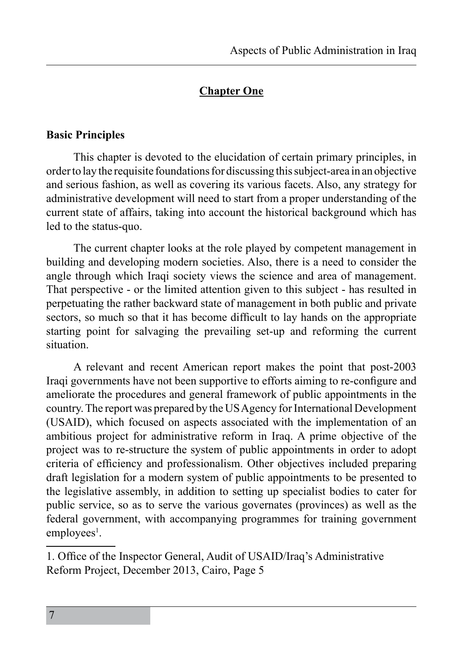# **Chapter One**

#### **Basic Principles**

This chapter is devoted to the elucidation of certain primary principles, in order to lay the requisite foundations for discussing this subject-area in an objective and serious fashion, as well as covering its various facets. Also, any strategy for administrative development will need to start from a proper understanding of the current state of affairs, taking into account the historical background which has led to the status-quo.

The current chapter looks at the role played by competent management in building and developing modern societies. Also, there is a need to consider the angle through which Iraqi society views the science and area of management. That perspective - or the limited attention given to this subject - has resulted in perpetuating the rather backward state of management in both public and private sectors, so much so that it has become difficult to lay hands on the appropriate starting point for salvaging the prevailing set-up and reforming the current situation.

A relevant and recent American report makes the point that post-2003 Iraqi governments have not been supportive to efforts aiming to re-configure and ameliorate the procedures and general framework of public appointments in the country. The report was prepared by the US Agency for International Development (USAID), which focused on aspects associated with the implementation of an ambitious project for administrative reform in Iraq. A prime objective of the project was to re-structure the system of public appointments in order to adopt criteria of efficiency and professionalism. Other objectives included preparing draft legislation for a modern system of public appointments to be presented to the legislative assembly, in addition to setting up specialist bodies to cater for public service, so as to serve the various governates (provinces) as well as the federal government, with accompanying programmes for training government employees<sup>1</sup>.

<sup>1</sup>. Office of the Inspector General, Audit of USAID/Iraq's Administrative Reform Project, December 2013, Cairo, Page 5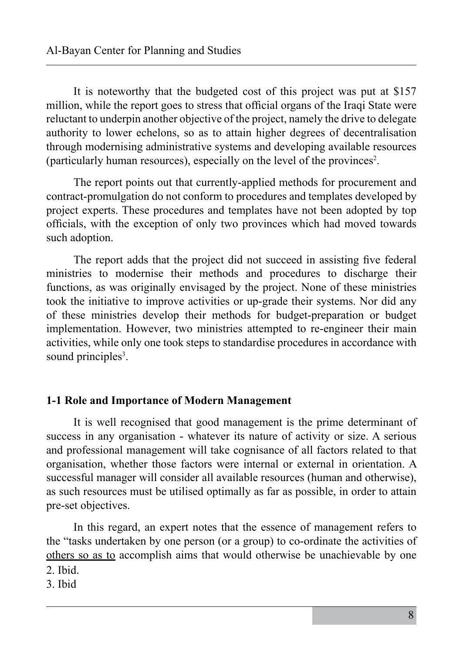It is noteworthy that the budgeted cost of this project was put at \$157 million, while the report goes to stress that official organs of the Iraqi State were reluctant to underpin another objective of the project, namely the drive to delegate authority to lower echelons, so as to attain higher degrees of decentralisation through modernising administrative systems and developing available resources (particularly human resources), especially on the level of the provinces<sup>2</sup> .

The report points out that currently-applied methods for procurement and contract-promulgation do not conform to procedures and templates developed by project experts. These procedures and templates have not been adopted by top officials, with the exception of only two provinces which had moved towards such adoption.

The report adds that the project did not succeed in assisting five federal ministries to modernise their methods and procedures to discharge their functions, as was originally envisaged by the project. None of these ministries took the initiative to improve activities or up-grade their systems. Nor did any of these ministries develop their methods for budget-preparation or budget implementation. However, two ministries attempted to re-engineer their main activities, while only one took steps to standardise procedures in accordance with sound principles<sup>3</sup>.

#### **1-1 Role and Importance of Modern Management**

It is well recognised that good management is the prime determinant of success in any organisation - whatever its nature of activity or size. A serious and professional management will take cognisance of all factors related to that organisation, whether those factors were internal or external in orientation. A successful manager will consider all available resources (human and otherwise), as such resources must be utilised optimally as far as possible, in order to attain pre-set objectives.

In this regard, an expert notes that the essence of management refers to the "tasks undertaken by one person (or a group) to co-ordinate the activities of others so as to accomplish aims that would otherwise be unachievable by one 2. Ibid.

3. Ibid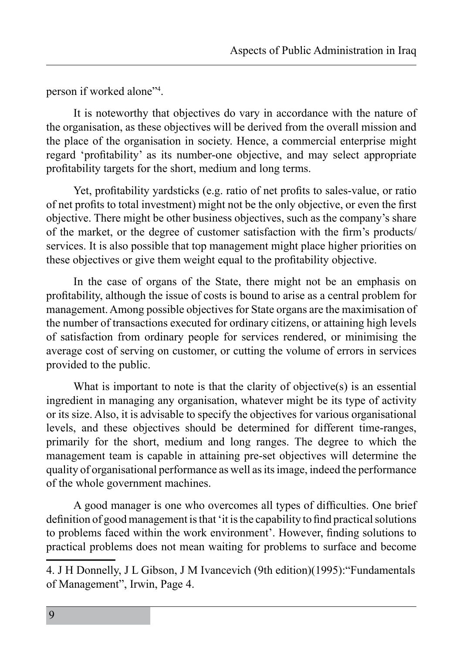person if worked alone"<sup>4</sup> .

It is noteworthy that objectives do vary in accordance with the nature of the organisation, as these objectives will be derived from the overall mission and the place of the organisation in society. Hence, a commercial enterprise might regard 'profitability' as its number-one objective, and may select appropriate profitability targets for the short, medium and long terms.

Yet, profitability yardsticks (e.g. ratio of net profits to sales-value, or ratio of net profits to total investment) might not be the only objective, or even the first objective. There might be other business objectives, such as the company's share of the market, or the degree of customer satisfaction with the firm's products/ services. It is also possible that top management might place higher priorities on these objectives or give them weight equal to the profitability objective.

In the case of organs of the State, there might not be an emphasis on profitability, although the issue of costs is bound to arise as a central problem for management. Among possible objectives for State organs are the maximisation of the number of transactions executed for ordinary citizens, or attaining high levels of satisfaction from ordinary people for services rendered, or minimising the average cost of serving on customer, or cutting the volume of errors in services provided to the public.

What is important to note is that the clarity of objective(s) is an essential ingredient in managing any organisation, whatever might be its type of activity or its size. Also, it is advisable to specify the objectives for various organisational levels, and these objectives should be determined for different time-ranges, primarily for the short, medium and long ranges. The degree to which the management team is capable in attaining pre-set objectives will determine the quality of organisational performance as well as its image, indeed the performance of the whole government machines.

A good manager is one who overcomes all types of difficulties. One brief definition of good management is that 'it is the capability to find practical solutions to problems faced within the work environment'. However, finding solutions to practical problems does not mean waiting for problems to surface and become

<sup>4</sup>. J H Donnelly, J L Gibson, J M Ivancevich (9th edition)(1995):"Fundamentals of Management", Irwin, Page 4.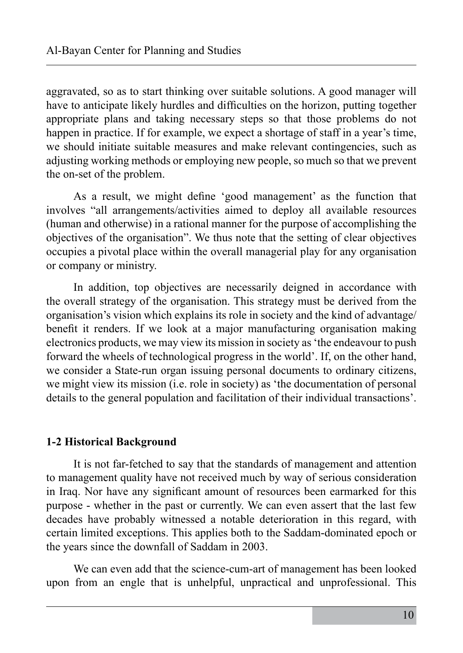aggravated, so as to start thinking over suitable solutions. A good manager will have to anticipate likely hurdles and difficulties on the horizon, putting together appropriate plans and taking necessary steps so that those problems do not happen in practice. If for example, we expect a shortage of staff in a year's time, we should initiate suitable measures and make relevant contingencies, such as adjusting working methods or employing new people, so much so that we prevent the on-set of the problem.

As a result, we might define 'good management' as the function that involves "all arrangements/activities aimed to deploy all available resources (human and otherwise) in a rational manner for the purpose of accomplishing the objectives of the organisation". We thus note that the setting of clear objectives occupies a pivotal place within the overall managerial play for any organisation or company or ministry.

In addition, top objectives are necessarily deigned in accordance with the overall strategy of the organisation. This strategy must be derived from the organisation's vision which explains its role in society and the kind of advantage/ benefit it renders. If we look at a major manufacturing organisation making electronics products, we may view its mission in society as 'the endeavour to push forward the wheels of technological progress in the world'. If, on the other hand, we consider a State-run organ issuing personal documents to ordinary citizens, we might view its mission (i.e. role in society) as 'the documentation of personal details to the general population and facilitation of their individual transactions'.

# **1-2 Historical Background**

It is not far-fetched to say that the standards of management and attention to management quality have not received much by way of serious consideration in Iraq. Nor have any significant amount of resources been earmarked for this purpose - whether in the past or currently. We can even assert that the last few decades have probably witnessed a notable deterioration in this regard, with certain limited exceptions. This applies both to the Saddam-dominated epoch or the years since the downfall of Saddam in 2003.

We can even add that the science-cum-art of management has been looked upon from an engle that is unhelpful, unpractical and unprofessional. This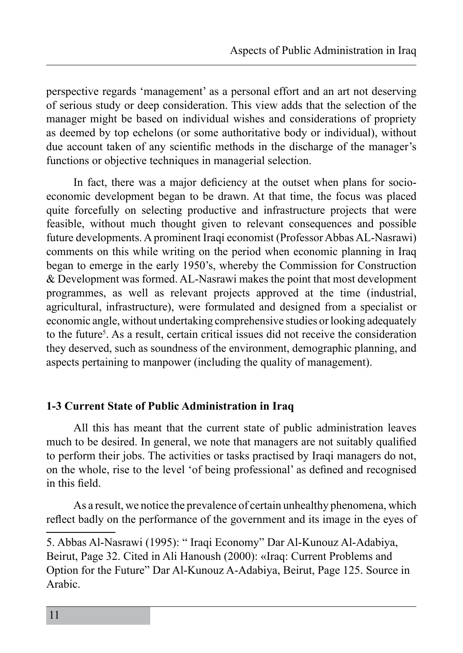perspective regards 'management' as a personal effort and an art not deserving of serious study or deep consideration. This view adds that the selection of the manager might be based on individual wishes and considerations of propriety as deemed by top echelons (or some authoritative body or individual), without due account taken of any scientific methods in the discharge of the manager's functions or objective techniques in managerial selection.

In fact, there was a major deficiency at the outset when plans for socioeconomic development began to be drawn. At that time, the focus was placed quite forcefully on selecting productive and infrastructure projects that were feasible, without much thought given to relevant consequences and possible future developments. A prominent Iraqi economist (Professor Abbas AL-Nasrawi) comments on this while writing on the period when economic planning in Iraq began to emerge in the early 1950's, whereby the Commission for Construction & Development was formed. AL-Nasrawi makes the point that most development programmes, as well as relevant projects approved at the time (industrial, agricultural, infrastructure), were formulated and designed from a specialist or economic angle, without undertaking comprehensive studies or looking adequately to the future<sup>5</sup>. As a result, certain critical issues did not receive the consideration they deserved, such as soundness of the environment, demographic planning, and aspects pertaining to manpower (including the quality of management).

# **1-3 Current State of Public Administration in Iraq**

All this has meant that the current state of public administration leaves much to be desired. In general, we note that managers are not suitably qualified to perform their jobs. The activities or tasks practised by Iraqi managers do not, on the whole, rise to the level 'of being professional' as defined and recognised in this field.

As a result, we notice the prevalence of certain unhealthy phenomena, which reflect badly on the performance of the government and its image in the eyes of

5. Abbas Al-Nasrawi (1995): " Iraqi Economy" Dar Al-Kunouz Al-Adabiya, Beirut, Page 32. Cited in Ali Hanoush (2000): «Iraq: Current Problems and Option for the Future" Dar Al-Kunouz A-Adabiya, Beirut, Page 125. Source in Arabic.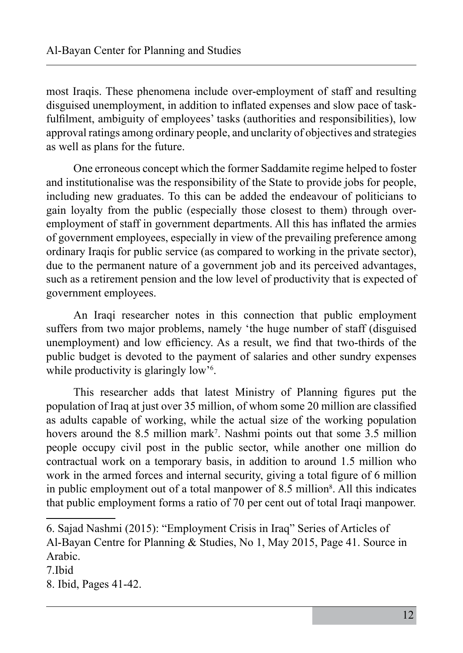most Iraqis. These phenomena include over-employment of staff and resulting disguised unemployment, in addition to inflated expenses and slow pace of taskfulfilment, ambiguity of employees' tasks (authorities and responsibilities), low approval ratings among ordinary people, and unclarity of objectives and strategies as well as plans for the future.

One erroneous concept which the former Saddamite regime helped to foster and institutionalise was the responsibility of the State to provide jobs for people, including new graduates. To this can be added the endeavour of politicians to gain loyalty from the public (especially those closest to them) through overemployment of staff in government departments. All this has inflated the armies of government employees, especially in view of the prevailing preference among ordinary Iraqis for public service (as compared to working in the private sector), due to the permanent nature of a government job and its perceived advantages, such as a retirement pension and the low level of productivity that is expected of government employees.

An Iraqi researcher notes in this connection that public employment suffers from two major problems, namely 'the huge number of staff (disguised unemployment) and low efficiency. As a result, we find that two-thirds of the public budget is devoted to the payment of salaries and other sundry expenses while productivity is glaringly low<sup>36</sup>.

This researcher adds that latest Ministry of Planning figures put the population of Iraq at just over 35 million, of whom some 20 million are classified as adults capable of working, while the actual size of the working population hovers around the 8.5 million mark<sup>7</sup>. Nashmi points out that some 3.5 million people occupy civil post in the public sector, while another one million do contractual work on a temporary basis, in addition to around 1.5 million who work in the armed forces and internal security, giving a total figure of 6 million in public employment out of a total manpower of 8.5 million<sup>8</sup>. All this indicates that public employment forms a ratio of 70 per cent out of total Iraqi manpower.

<sup>6</sup>. Sajad Nashmi (2015): "Employment Crisis in Iraq" Series of Articles of Al-Bayan Centre for Planning & Studies, No 1, May 2015, Page 41. Source in Arabic.

<sup>7.</sup>Ibid

<sup>8.</sup> Ibid, Pages 41-42.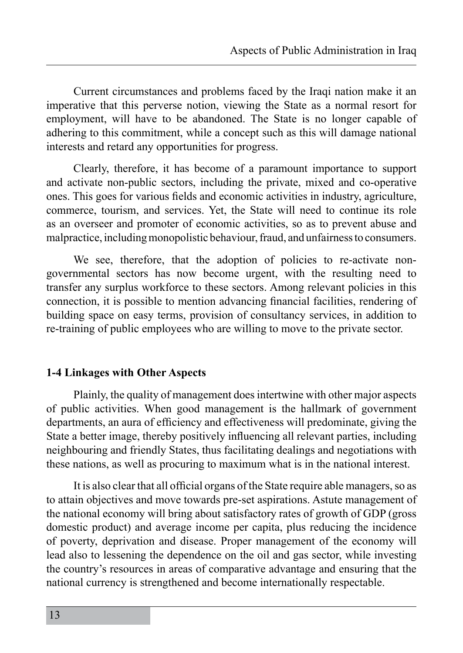Current circumstances and problems faced by the Iraqi nation make it an imperative that this perverse notion, viewing the State as a normal resort for employment, will have to be abandoned. The State is no longer capable of adhering to this commitment, while a concept such as this will damage national interests and retard any opportunities for progress.

Clearly, therefore, it has become of a paramount importance to support and activate non-public sectors, including the private, mixed and co-operative ones. This goes for various fields and economic activities in industry, agriculture, commerce, tourism, and services. Yet, the State will need to continue its role as an overseer and promoter of economic activities, so as to prevent abuse and malpractice, including monopolistic behaviour, fraud, and unfairness to consumers.

We see, therefore, that the adoption of policies to re-activate nongovernmental sectors has now become urgent, with the resulting need to transfer any surplus workforce to these sectors. Among relevant policies in this connection, it is possible to mention advancing financial facilities, rendering of building space on easy terms, provision of consultancy services, in addition to re-training of public employees who are willing to move to the private sector.

# **1-4 Linkages with Other Aspects**

Plainly, the quality of management does intertwine with other major aspects of public activities. When good management is the hallmark of government departments, an aura of efficiency and effectiveness will predominate, giving the State a better image, thereby positively influencing all relevant parties, including neighbouring and friendly States, thus facilitating dealings and negotiations with these nations, as well as procuring to maximum what is in the national interest.

It is also clear that all official organs of the State require able managers, so as to attain objectives and move towards pre-set aspirations. Astute management of the national economy will bring about satisfactory rates of growth of GDP (gross domestic product) and average income per capita, plus reducing the incidence of poverty, deprivation and disease. Proper management of the economy will lead also to lessening the dependence on the oil and gas sector, while investing the country's resources in areas of comparative advantage and ensuring that the national currency is strengthened and become internationally respectable.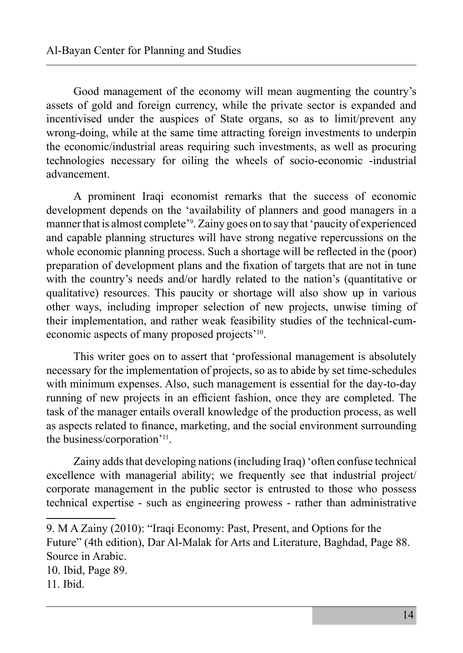Good management of the economy will mean augmenting the country's assets of gold and foreign currency, while the private sector is expanded and incentivised under the auspices of State organs, so as to limit/prevent any wrong-doing, while at the same time attracting foreign investments to underpin the economic/industrial areas requiring such investments, as well as procuring technologies necessary for oiling the wheels of socio-economic -industrial advancement.

A prominent Iraqi economist remarks that the success of economic development depends on the 'availability of planners and good managers in a manner that is almost complete<sup>39</sup>. Zainy goes on to say that 'paucity of experienced and capable planning structures will have strong negative repercussions on the whole economic planning process. Such a shortage will be reflected in the (poor) preparation of development plans and the fixation of targets that are not in tune with the country's needs and/or hardly related to the nation's (quantitative or qualitative) resources. This paucity or shortage will also show up in various other ways, including improper selection of new projects, unwise timing of their implementation, and rather weak feasibility studies of the technical-cumeconomic aspects of many proposed projects'10.

This writer goes on to assert that 'professional management is absolutely necessary for the implementation of projects, so as to abide by set time-schedules with minimum expenses. Also, such management is essential for the day-to-day running of new projects in an efficient fashion, once they are completed. The task of the manager entails overall knowledge of the production process, as well as aspects related to finance, marketing, and the social environment surrounding the business/corporation'11.

Zainy adds that developing nations (including Iraq) 'often confuse technical excellence with managerial ability; we frequently see that industrial project/ corporate management in the public sector is entrusted to those who possess technical expertise - such as engineering prowess - rather than administrative

10. Ibid, Page 89.

<sup>9.</sup> M A Zainy (2010): "Iraqi Economy: Past, Present, and Options for the Future" (4th edition), Dar Al-Malak for Arts and Literature, Baghdad, Page 88. Source in Arabic.

<sup>11</sup>. Ibid.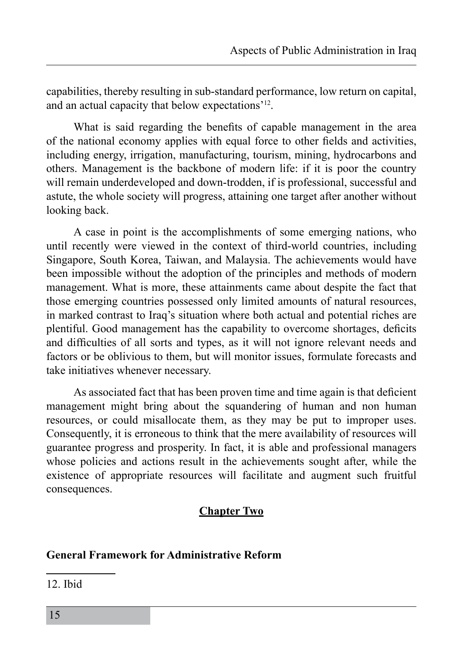capabilities, thereby resulting in sub-standard performance, low return on capital, and an actual capacity that below expectations'12.

What is said regarding the benefits of capable management in the area of the national economy applies with equal force to other fields and activities, including energy, irrigation, manufacturing, tourism, mining, hydrocarbons and others. Management is the backbone of modern life: if it is poor the country will remain underdeveloped and down-trodden, if is professional, successful and astute, the whole society will progress, attaining one target after another without looking back.

A case in point is the accomplishments of some emerging nations, who until recently were viewed in the context of third-world countries, including Singapore, South Korea, Taiwan, and Malaysia. The achievements would have been impossible without the adoption of the principles and methods of modern management. What is more, these attainments came about despite the fact that those emerging countries possessed only limited amounts of natural resources, in marked contrast to Iraq's situation where both actual and potential riches are plentiful. Good management has the capability to overcome shortages, deficits and difficulties of all sorts and types, as it will not ignore relevant needs and factors or be oblivious to them, but will monitor issues, formulate forecasts and take initiatives whenever necessary.

As associated fact that has been proven time and time again is that deficient management might bring about the squandering of human and non human resources, or could misallocate them, as they may be put to improper uses. Consequently, it is erroneous to think that the mere availability of resources will guarantee progress and prosperity. In fact, it is able and professional managers whose policies and actions result in the achievements sought after, while the existence of appropriate resources will facilitate and augment such fruitful consequences.

# **Chapter Two**

# **General Framework for Administrative Reform**

12. Ibid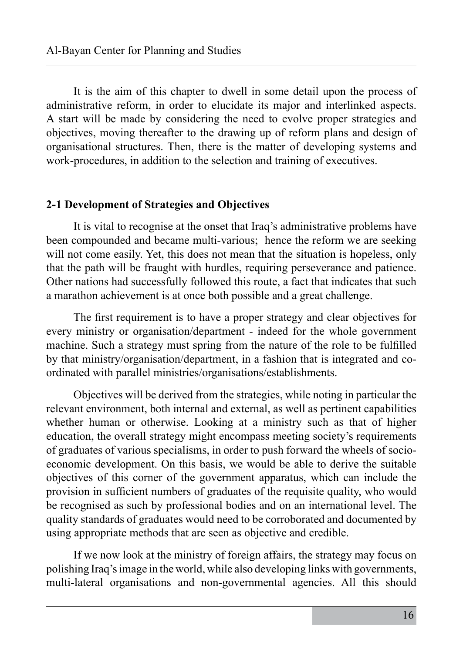It is the aim of this chapter to dwell in some detail upon the process of administrative reform, in order to elucidate its major and interlinked aspects. A start will be made by considering the need to evolve proper strategies and objectives, moving thereafter to the drawing up of reform plans and design of organisational structures. Then, there is the matter of developing systems and work-procedures, in addition to the selection and training of executives.

#### **2-1 Development of Strategies and Objectives**

It is vital to recognise at the onset that Iraq's administrative problems have been compounded and became multi-various; hence the reform we are seeking will not come easily. Yet, this does not mean that the situation is hopeless, only that the path will be fraught with hurdles, requiring perseverance and patience. Other nations had successfully followed this route, a fact that indicates that such a marathon achievement is at once both possible and a great challenge.

The first requirement is to have a proper strategy and clear objectives for every ministry or organisation/department - indeed for the whole government machine. Such a strategy must spring from the nature of the role to be fulfilled by that ministry/organisation/department, in a fashion that is integrated and coordinated with parallel ministries/organisations/establishments.

Objectives will be derived from the strategies, while noting in particular the relevant environment, both internal and external, as well as pertinent capabilities whether human or otherwise. Looking at a ministry such as that of higher education, the overall strategy might encompass meeting society's requirements of graduates of various specialisms, in order to push forward the wheels of socioeconomic development. On this basis, we would be able to derive the suitable objectives of this corner of the government apparatus, which can include the provision in sufficient numbers of graduates of the requisite quality, who would be recognised as such by professional bodies and on an international level. The quality standards of graduates would need to be corroborated and documented by using appropriate methods that are seen as objective and credible.

If we now look at the ministry of foreign affairs, the strategy may focus on polishing Iraq's image in the world, while also developing links with governments, multi-lateral organisations and non-governmental agencies. All this should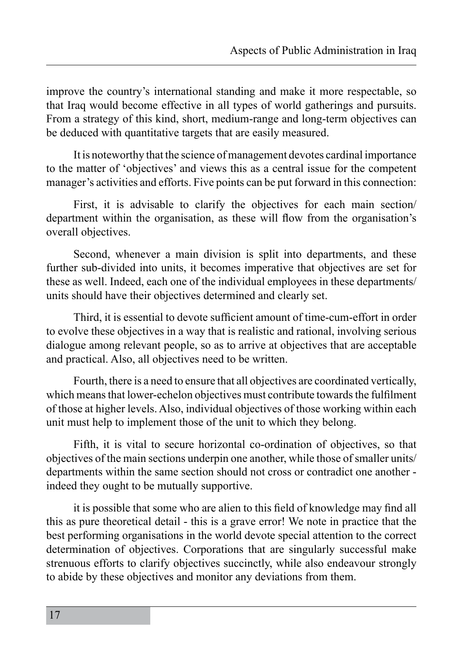improve the country's international standing and make it more respectable, so that Iraq would become effective in all types of world gatherings and pursuits. From a strategy of this kind, short, medium-range and long-term objectives can be deduced with quantitative targets that are easily measured.

It is noteworthy that the science of management devotes cardinal importance to the matter of 'objectives' and views this as a central issue for the competent manager's activities and efforts. Five points can be put forward in this connection:

First, it is advisable to clarify the objectives for each main section/ department within the organisation, as these will flow from the organisation's overall objectives.

Second, whenever a main division is split into departments, and these further sub-divided into units, it becomes imperative that objectives are set for these as well. Indeed, each one of the individual employees in these departments/ units should have their objectives determined and clearly set.

Third, it is essential to devote sufficient amount of time-cum-effort in order to evolve these objectives in a way that is realistic and rational, involving serious dialogue among relevant people, so as to arrive at objectives that are acceptable and practical. Also, all objectives need to be written.

Fourth, there is a need to ensure that all objectives are coordinated vertically, which means that lower-echelon objectives must contribute towards the fulfilment of those at higher levels. Also, individual objectives of those working within each unit must help to implement those of the unit to which they belong.

Fifth, it is vital to secure horizontal co-ordination of objectives, so that objectives of the main sections underpin one another, while those of smaller units/ departments within the same section should not cross or contradict one another indeed they ought to be mutually supportive.

it is possible that some who are alien to this field of knowledge may find all this as pure theoretical detail - this is a grave error! We note in practice that the best performing organisations in the world devote special attention to the correct determination of objectives. Corporations that are singularly successful make strenuous efforts to clarify objectives succinctly, while also endeavour strongly to abide by these objectives and monitor any deviations from them.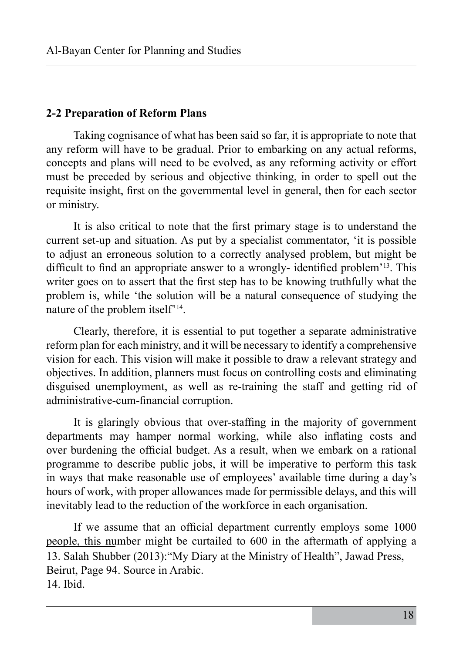#### **2-2 Preparation of Reform Plans**

Taking cognisance of what has been said so far, it is appropriate to note that any reform will have to be gradual. Prior to embarking on any actual reforms, concepts and plans will need to be evolved, as any reforming activity or effort must be preceded by serious and objective thinking, in order to spell out the requisite insight, first on the governmental level in general, then for each sector or ministry.

It is also critical to note that the first primary stage is to understand the current set-up and situation. As put by a specialist commentator, 'it is possible to adjust an erroneous solution to a correctly analysed problem, but might be difficult to find an appropriate answer to a wrongly- identified problem'13. This writer goes on to assert that the first step has to be knowing truthfully what the problem is, while 'the solution will be a natural consequence of studying the nature of the problem itself'14.

Clearly, therefore, it is essential to put together a separate administrative reform plan for each ministry, and it will be necessary to identify a comprehensive vision for each. This vision will make it possible to draw a relevant strategy and objectives. In addition, planners must focus on controlling costs and eliminating disguised unemployment, as well as re-training the staff and getting rid of administrative-cum-financial corruption.

It is glaringly obvious that over-staffing in the majority of government departments may hamper normal working, while also inflating costs and over burdening the official budget. As a result, when we embark on a rational programme to describe public jobs, it will be imperative to perform this task in ways that make reasonable use of employees' available time during a day's hours of work, with proper allowances made for permissible delays, and this will inevitably lead to the reduction of the workforce in each organisation.

If we assume that an official department currently employs some 1000 people, this number might be curtailed to 600 in the aftermath of applying a 13. Salah Shubber (2013):"My Diary at the Ministry of Health", Jawad Press, Beirut, Page 94. Source in Arabic. 14. Ibid.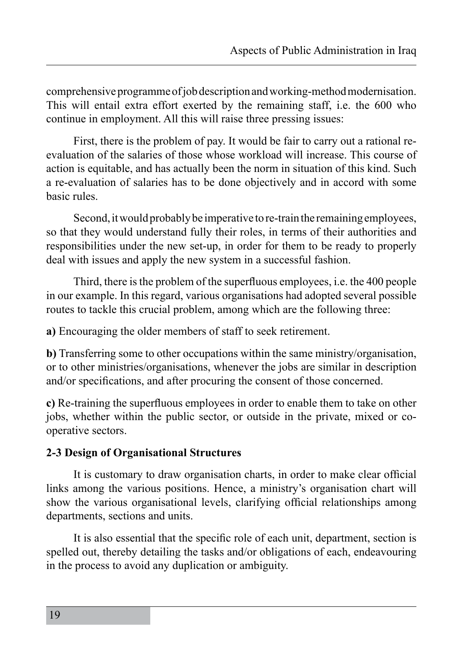comprehensive programme of job description and working-method modernisation. This will entail extra effort exerted by the remaining staff, i.e. the 600 who continue in employment. All this will raise three pressing issues:

First, there is the problem of pay. It would be fair to carry out a rational reevaluation of the salaries of those whose workload will increase. This course of action is equitable, and has actually been the norm in situation of this kind. Such a re-evaluation of salaries has to be done objectively and in accord with some basic rules.

Second, it would probably be imperative to re-train the remaining employees, so that they would understand fully their roles, in terms of their authorities and responsibilities under the new set-up, in order for them to be ready to properly deal with issues and apply the new system in a successful fashion.

Third, there is the problem of the superfluous employees, i.e. the 400 people in our example. In this regard, various organisations had adopted several possible routes to tackle this crucial problem, among which are the following three:

**a)** Encouraging the older members of staff to seek retirement.

**b)** Transferring some to other occupations within the same ministry/organisation, or to other ministries/organisations, whenever the jobs are similar in description and/or specifications, and after procuring the consent of those concerned.

**c)** Re-training the superfluous employees in order to enable them to take on other jobs, whether within the public sector, or outside in the private, mixed or cooperative sectors.

# **2-3 Design of Organisational Structures**

It is customary to draw organisation charts, in order to make clear official links among the various positions. Hence, a ministry's organisation chart will show the various organisational levels, clarifying official relationships among departments, sections and units.

It is also essential that the specific role of each unit, department, section is spelled out, thereby detailing the tasks and/or obligations of each, endeavouring in the process to avoid any duplication or ambiguity.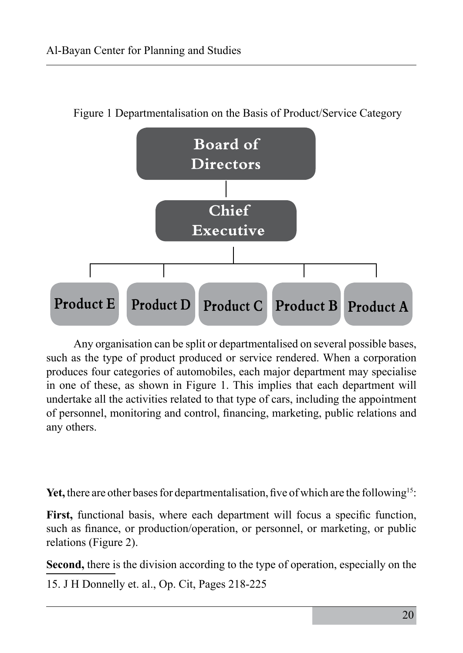

Figure 1 Departmentalisation on the Basis of Product/Service Category

Any organisation can be split or departmentalised on several possible bases, such as the type of product produced or service rendered. When a corporation produces four categories of automobiles, each major department may specialise in one of these, as shown in Figure 1. This implies that each department will undertake all the activities related to that type of cars, including the appointment of personnel, monitoring and control, financing, marketing, public relations and any others.

Yet, there are other bases for departmentalisation, five of which are the following<sup>15</sup>:

**First,** functional basis, where each department will focus a specific function, such as finance, or production/operation, or personnel, or marketing, or public relations (Figure 2).

**Second,** there is the division according to the type of operation, especially on the

15. J H Donnelly et. al., Op. Cit, Pages 218-225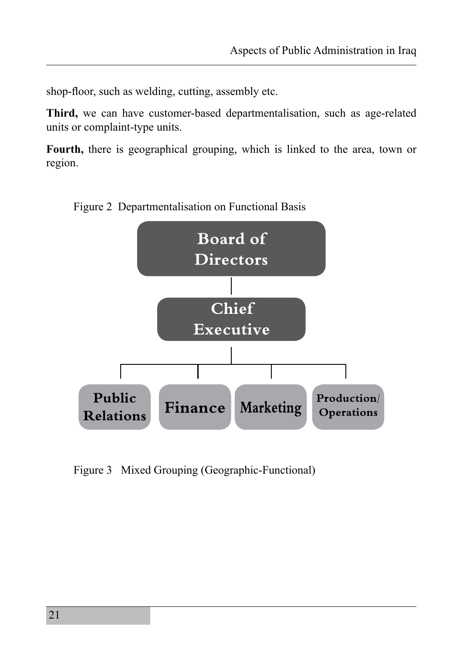shop-floor, such as welding, cutting, assembly etc.

**Third,** we can have customer-based departmentalisation, such as age-related units or complaint-type units.

**Fourth,** there is geographical grouping, which is linked to the area, town or region.



Figure 2 Departmentalisation on Functional Basis

Figure 3 Mixed Grouping (Geographic-Functional)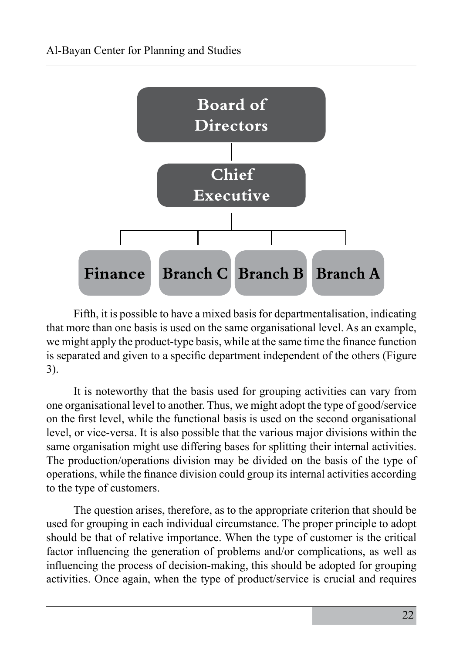

Fifth, it is possible to have a mixed basis for departmentalisation, indicating that more than one basis is used on the same organisational level. As an example, we might apply the product-type basis, while at the same time the finance function is separated and given to a specific department independent of the others (Figure 3).

It is noteworthy that the basis used for grouping activities can vary from one organisational level to another. Thus, we might adopt the type of good/service on the first level, while the functional basis is used on the second organisational level, or vice-versa. It is also possible that the various major divisions within the same organisation might use differing bases for splitting their internal activities. The production/operations division may be divided on the basis of the type of operations, while the finance division could group its internal activities according to the type of customers.

The question arises, therefore, as to the appropriate criterion that should be used for grouping in each individual circumstance. The proper principle to adopt should be that of relative importance. When the type of customer is the critical factor influencing the generation of problems and/or complications, as well as influencing the process of decision-making, this should be adopted for grouping activities. Once again, when the type of product/service is crucial and requires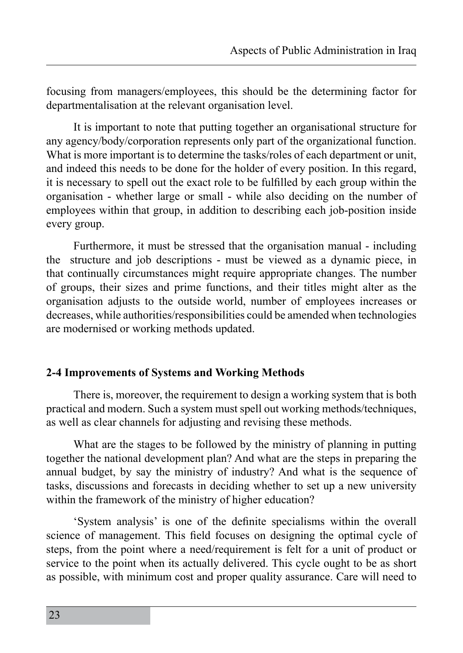focusing from managers/employees, this should be the determining factor for departmentalisation at the relevant organisation level.

It is important to note that putting together an organisational structure for any agency/body/corporation represents only part of the organizational function. What is more important is to determine the tasks/roles of each department or unit, and indeed this needs to be done for the holder of every position. In this regard, it is necessary to spell out the exact role to be fulfilled by each group within the organisation - whether large or small - while also deciding on the number of employees within that group, in addition to describing each job-position inside every group.

Furthermore, it must be stressed that the organisation manual - including the structure and job descriptions - must be viewed as a dynamic piece, in that continually circumstances might require appropriate changes. The number of groups, their sizes and prime functions, and their titles might alter as the organisation adjusts to the outside world, number of employees increases or decreases, while authorities/responsibilities could be amended when technologies are modernised or working methods updated.

# **2-4 Improvements of Systems and Working Methods**

There is, moreover, the requirement to design a working system that is both practical and modern. Such a system must spell out working methods/techniques, as well as clear channels for adjusting and revising these methods.

What are the stages to be followed by the ministry of planning in putting together the national development plan? And what are the steps in preparing the annual budget, by say the ministry of industry? And what is the sequence of tasks, discussions and forecasts in deciding whether to set up a new university within the framework of the ministry of higher education?

'System analysis' is one of the definite specialisms within the overall science of management. This field focuses on designing the optimal cycle of steps, from the point where a need/requirement is felt for a unit of product or service to the point when its actually delivered. This cycle ought to be as short as possible, with minimum cost and proper quality assurance. Care will need to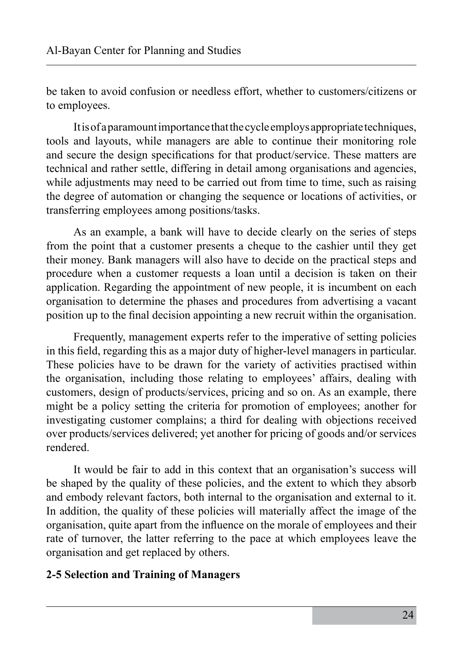be taken to avoid confusion or needless effort, whether to customers/citizens or to employees.

It is of a paramount importance that the cycle employs appropriate techniques, tools and layouts, while managers are able to continue their monitoring role and secure the design specifications for that product/service. These matters are technical and rather settle, differing in detail among organisations and agencies, while adjustments may need to be carried out from time to time, such as raising the degree of automation or changing the sequence or locations of activities, or transferring employees among positions/tasks.

As an example, a bank will have to decide clearly on the series of steps from the point that a customer presents a cheque to the cashier until they get their money. Bank managers will also have to decide on the practical steps and procedure when a customer requests a loan until a decision is taken on their application. Regarding the appointment of new people, it is incumbent on each organisation to determine the phases and procedures from advertising a vacant position up to the final decision appointing a new recruit within the organisation.

Frequently, management experts refer to the imperative of setting policies in this field, regarding this as a major duty of higher-level managers in particular. These policies have to be drawn for the variety of activities practised within the organisation, including those relating to employees' affairs, dealing with customers, design of products/services, pricing and so on. As an example, there might be a policy setting the criteria for promotion of employees; another for investigating customer complains; a third for dealing with objections received over products/services delivered; yet another for pricing of goods and/or services rendered.

It would be fair to add in this context that an organisation's success will be shaped by the quality of these policies, and the extent to which they absorb and embody relevant factors, both internal to the organisation and external to it. In addition, the quality of these policies will materially affect the image of the organisation, quite apart from the influence on the morale of employees and their rate of turnover, the latter referring to the pace at which employees leave the organisation and get replaced by others.

#### **2-5 Selection and Training of Managers**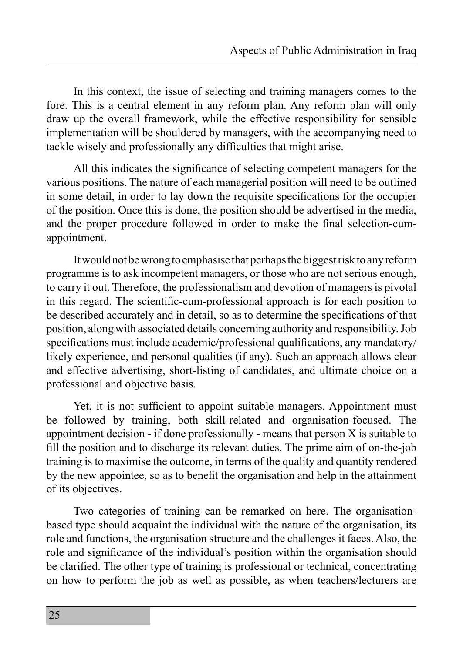In this context, the issue of selecting and training managers comes to the fore. This is a central element in any reform plan. Any reform plan will only draw up the overall framework, while the effective responsibility for sensible implementation will be shouldered by managers, with the accompanying need to tackle wisely and professionally any difficulties that might arise.

All this indicates the significance of selecting competent managers for the various positions. The nature of each managerial position will need to be outlined in some detail, in order to lay down the requisite specifications for the occupier of the position. Once this is done, the position should be advertised in the media, and the proper procedure followed in order to make the final selection-cumappointment.

It would not be wrong to emphasise that perhaps the biggest risk to any reform programme is to ask incompetent managers, or those who are not serious enough, to carry it out. Therefore, the professionalism and devotion of managers is pivotal in this regard. The scientific-cum-professional approach is for each position to be described accurately and in detail, so as to determine the specifications of that position, along with associated details concerning authority and responsibility. Job specifications must include academic/professional qualifications, any mandatory/ likely experience, and personal qualities (if any). Such an approach allows clear and effective advertising, short-listing of candidates, and ultimate choice on a professional and objective basis.

Yet, it is not sufficient to appoint suitable managers. Appointment must be followed by training, both skill-related and organisation-focused. The appointment decision - if done professionally - means that person X is suitable to fill the position and to discharge its relevant duties. The prime aim of on-the-job training is to maximise the outcome, in terms of the quality and quantity rendered by the new appointee, so as to benefit the organisation and help in the attainment of its objectives.

Two categories of training can be remarked on here. The organisationbased type should acquaint the individual with the nature of the organisation, its role and functions, the organisation structure and the challenges it faces. Also, the role and significance of the individual's position within the organisation should be clarified. The other type of training is professional or technical, concentrating on how to perform the job as well as possible, as when teachers/lecturers are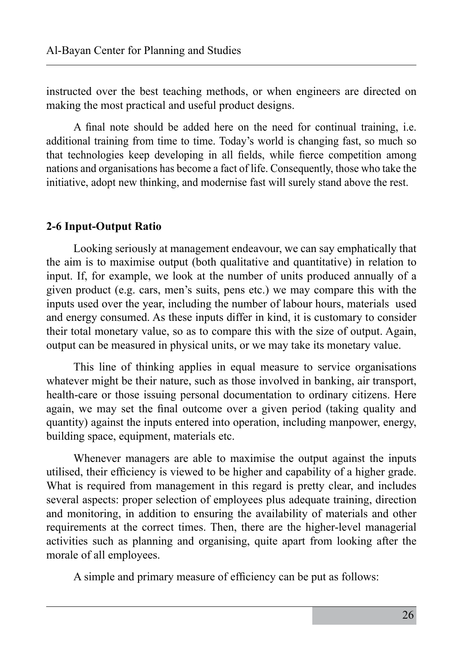instructed over the best teaching methods, or when engineers are directed on making the most practical and useful product designs.

A final note should be added here on the need for continual training, i.e. additional training from time to time. Today's world is changing fast, so much so that technologies keep developing in all fields, while fierce competition among nations and organisations has become a fact of life. Consequently, those who take the initiative, adopt new thinking, and modernise fast will surely stand above the rest.

# **2-6 Input-Output Ratio**

Looking seriously at management endeavour, we can say emphatically that the aim is to maximise output (both qualitative and quantitative) in relation to input. If, for example, we look at the number of units produced annually of a given product (e.g. cars, men's suits, pens etc.) we may compare this with the inputs used over the year, including the number of labour hours, materials used and energy consumed. As these inputs differ in kind, it is customary to consider their total monetary value, so as to compare this with the size of output. Again, output can be measured in physical units, or we may take its monetary value.

This line of thinking applies in equal measure to service organisations whatever might be their nature, such as those involved in banking, air transport, health-care or those issuing personal documentation to ordinary citizens. Here again, we may set the final outcome over a given period (taking quality and quantity) against the inputs entered into operation, including manpower, energy, building space, equipment, materials etc.

Whenever managers are able to maximise the output against the inputs utilised, their efficiency is viewed to be higher and capability of a higher grade. What is required from management in this regard is pretty clear, and includes several aspects: proper selection of employees plus adequate training, direction and monitoring, in addition to ensuring the availability of materials and other requirements at the correct times. Then, there are the higher-level managerial activities such as planning and organising, quite apart from looking after the morale of all employees.

A simple and primary measure of efficiency can be put as follows: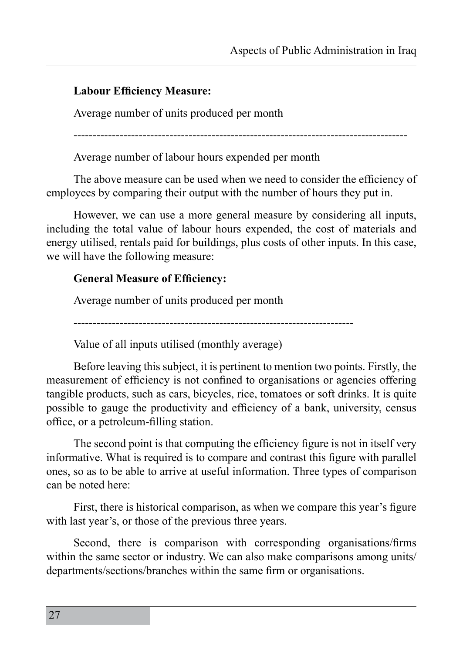# **Labour Efficiency Measure:**

Average number of units produced per month

---------------------------------------------------------------------------------------

Average number of labour hours expended per month

The above measure can be used when we need to consider the efficiency of employees by comparing their output with the number of hours they put in.

However, we can use a more general measure by considering all inputs, including the total value of labour hours expended, the cost of materials and energy utilised, rentals paid for buildings, plus costs of other inputs. In this case, we will have the following measure:

# **General Measure of Efficiency:**

Average number of units produced per month

-------------------------------------------------------------------------

Value of all inputs utilised (monthly average)

Before leaving this subject, it is pertinent to mention two points. Firstly, the measurement of efficiency is not confined to organisations or agencies offering tangible products, such as cars, bicycles, rice, tomatoes or soft drinks. It is quite possible to gauge the productivity and efficiency of a bank, university, census office, or a petroleum-filling station.

The second point is that computing the efficiency figure is not in itself very informative. What is required is to compare and contrast this figure with parallel ones, so as to be able to arrive at useful information. Three types of comparison can be noted here:

First, there is historical comparison, as when we compare this year's figure with last year's, or those of the previous three years.

Second, there is comparison with corresponding organisations/firms within the same sector or industry. We can also make comparisons among units/ departments/sections/branches within the same firm or organisations.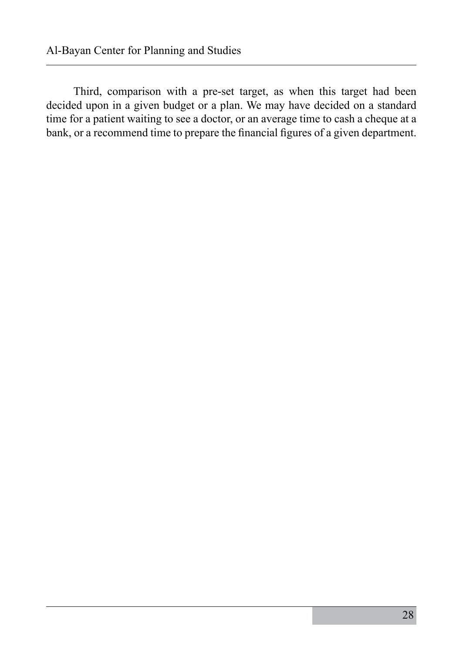Third, comparison with a pre-set target, as when this target had been decided upon in a given budget or a plan. We may have decided on a standard time for a patient waiting to see a doctor, or an average time to cash a cheque at a bank, or a recommend time to prepare the financial figures of a given department.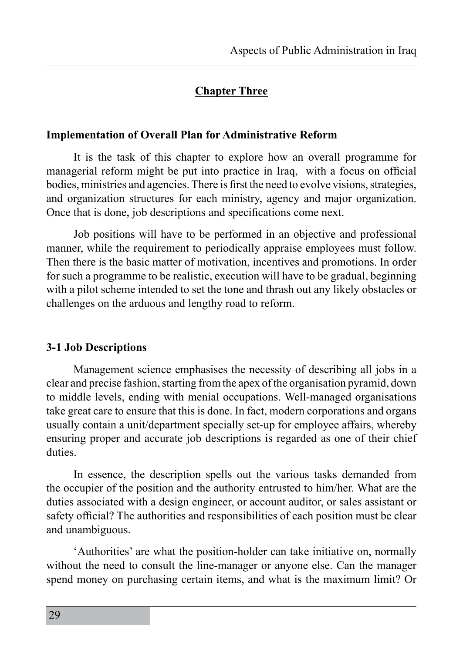# **Chapter Three**

#### **Implementation of Overall Plan for Administrative Reform**

It is the task of this chapter to explore how an overall programme for managerial reform might be put into practice in Iraq, with a focus on official bodies, ministries and agencies. There is first the need to evolve visions, strategies, and organization structures for each ministry, agency and major organization. Once that is done, job descriptions and specifications come next.

Job positions will have to be performed in an objective and professional manner, while the requirement to periodically appraise employees must follow. Then there is the basic matter of motivation, incentives and promotions. In order for such a programme to be realistic, execution will have to be gradual, beginning with a pilot scheme intended to set the tone and thrash out any likely obstacles or challenges on the arduous and lengthy road to reform.

#### **3-1 Job Descriptions**

Management science emphasises the necessity of describing all jobs in a clear and precise fashion, starting from the apex of the organisation pyramid, down to middle levels, ending with menial occupations. Well-managed organisations take great care to ensure that this is done. In fact, modern corporations and organs usually contain a unit/department specially set-up for employee affairs, whereby ensuring proper and accurate job descriptions is regarded as one of their chief duties.

In essence, the description spells out the various tasks demanded from the occupier of the position and the authority entrusted to him/her. What are the duties associated with a design engineer, or account auditor, or sales assistant or safety official? The authorities and responsibilities of each position must be clear and unambiguous.

'Authorities' are what the position-holder can take initiative on, normally without the need to consult the line-manager or anyone else. Can the manager spend money on purchasing certain items, and what is the maximum limit? Or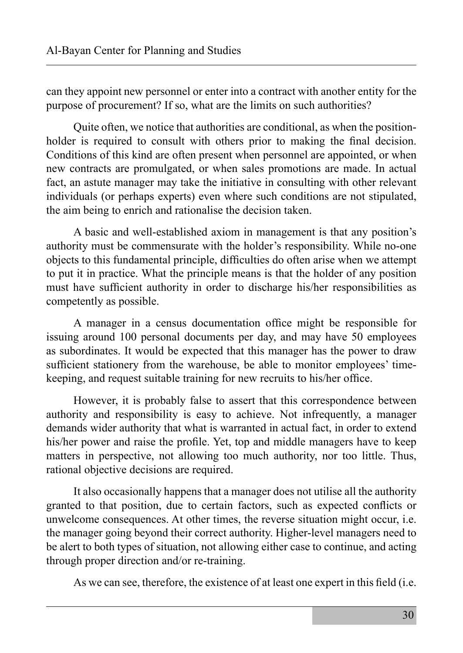can they appoint new personnel or enter into a contract with another entity for the purpose of procurement? If so, what are the limits on such authorities?

Quite often, we notice that authorities are conditional, as when the positionholder is required to consult with others prior to making the final decision. Conditions of this kind are often present when personnel are appointed, or when new contracts are promulgated, or when sales promotions are made. In actual fact, an astute manager may take the initiative in consulting with other relevant individuals (or perhaps experts) even where such conditions are not stipulated, the aim being to enrich and rationalise the decision taken.

A basic and well-established axiom in management is that any position's authority must be commensurate with the holder's responsibility. While no-one objects to this fundamental principle, difficulties do often arise when we attempt to put it in practice. What the principle means is that the holder of any position must have sufficient authority in order to discharge his/her responsibilities as competently as possible.

A manager in a census documentation office might be responsible for issuing around 100 personal documents per day, and may have 50 employees as subordinates. It would be expected that this manager has the power to draw sufficient stationery from the warehouse, be able to monitor employees' timekeeping, and request suitable training for new recruits to his/her office.

However, it is probably false to assert that this correspondence between authority and responsibility is easy to achieve. Not infrequently, a manager demands wider authority that what is warranted in actual fact, in order to extend his/her power and raise the profile. Yet, top and middle managers have to keep matters in perspective, not allowing too much authority, nor too little. Thus, rational objective decisions are required.

It also occasionally happens that a manager does not utilise all the authority granted to that position, due to certain factors, such as expected conflicts or unwelcome consequences. At other times, the reverse situation might occur, i.e. the manager going beyond their correct authority. Higher-level managers need to be alert to both types of situation, not allowing either case to continue, and acting through proper direction and/or re-training.

As we can see, therefore, the existence of at least one expert in this field (i.e.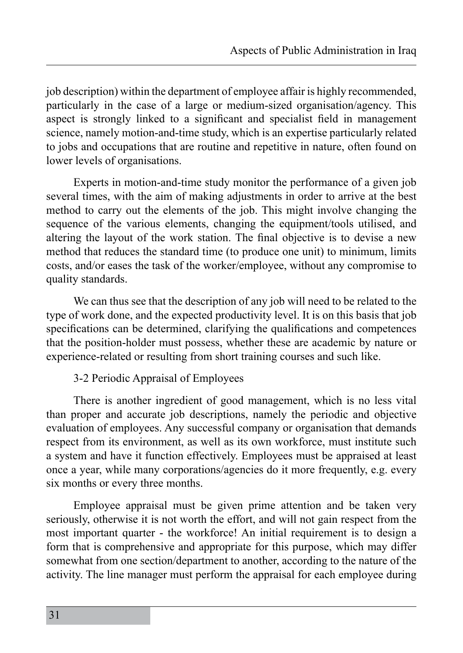job description) within the department of employee affair is highly recommended, particularly in the case of a large or medium-sized organisation/agency. This aspect is strongly linked to a significant and specialist field in management science, namely motion-and-time study, which is an expertise particularly related to jobs and occupations that are routine and repetitive in nature, often found on lower levels of organisations.

Experts in motion-and-time study monitor the performance of a given job several times, with the aim of making adjustments in order to arrive at the best method to carry out the elements of the job. This might involve changing the sequence of the various elements, changing the equipment/tools utilised, and altering the layout of the work station. The final objective is to devise a new method that reduces the standard time (to produce one unit) to minimum, limits costs, and/or eases the task of the worker/employee, without any compromise to quality standards.

We can thus see that the description of any job will need to be related to the type of work done, and the expected productivity level. It is on this basis that job specifications can be determined, clarifying the qualifications and competences that the position-holder must possess, whether these are academic by nature or experience-related or resulting from short training courses and such like.

3-2 Periodic Appraisal of Employees

There is another ingredient of good management, which is no less vital than proper and accurate job descriptions, namely the periodic and objective evaluation of employees. Any successful company or organisation that demands respect from its environment, as well as its own workforce, must institute such a system and have it function effectively. Employees must be appraised at least once a year, while many corporations/agencies do it more frequently, e.g. every six months or every three months.

Employee appraisal must be given prime attention and be taken very seriously, otherwise it is not worth the effort, and will not gain respect from the most important quarter - the workforce! An initial requirement is to design a form that is comprehensive and appropriate for this purpose, which may differ somewhat from one section/department to another, according to the nature of the activity. The line manager must perform the appraisal for each employee during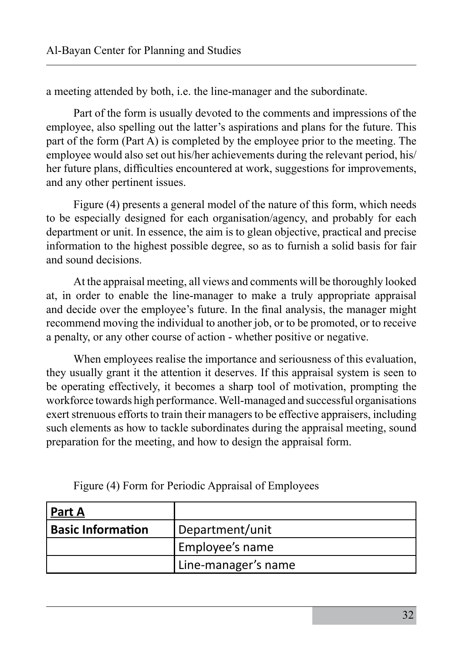a meeting attended by both, i.e. the line-manager and the subordinate.

Part of the form is usually devoted to the comments and impressions of the employee, also spelling out the latter's aspirations and plans for the future. This part of the form (Part A) is completed by the employee prior to the meeting. The employee would also set out his/her achievements during the relevant period, his/ her future plans, difficulties encountered at work, suggestions for improvements, and any other pertinent issues.

Figure (4) presents a general model of the nature of this form, which needs to be especially designed for each organisation/agency, and probably for each department or unit. In essence, the aim is to glean objective, practical and precise information to the highest possible degree, so as to furnish a solid basis for fair and sound decisions.

At the appraisal meeting, all views and comments will be thoroughly looked at, in order to enable the line-manager to make a truly appropriate appraisal and decide over the employee's future. In the final analysis, the manager might recommend moving the individual to another job, or to be promoted, or to receive a penalty, or any other course of action - whether positive or negative.

When employees realise the importance and seriousness of this evaluation, they usually grant it the attention it deserves. If this appraisal system is seen to be operating effectively, it becomes a sharp tool of motivation, prompting the workforce towards high performance. Well-managed and successful organisations exert strenuous efforts to train their managers to be effective appraisers, including such elements as how to tackle subordinates during the appraisal meeting, sound preparation for the meeting, and how to design the appraisal form.

| <u>  Part A</u>   |                     |
|-------------------|---------------------|
| Basic Information | Department/unit     |
|                   | Employee's name     |
|                   | Line-manager's name |

Figure (4) Form for Periodic Appraisal of Employees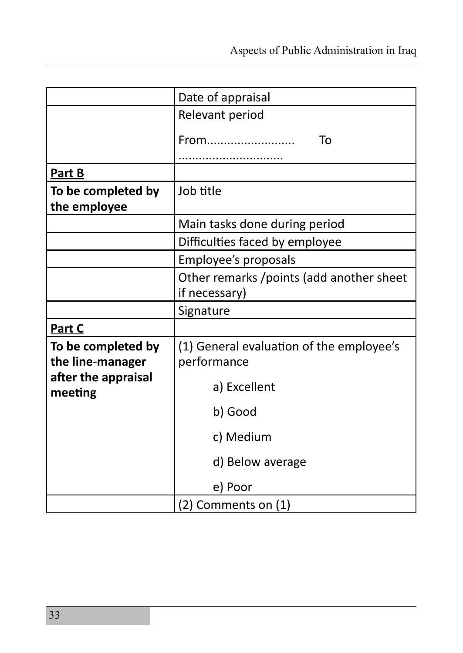|                                        | Date of appraisal                                          |
|----------------------------------------|------------------------------------------------------------|
|                                        | Relevant period                                            |
|                                        | From<br>To                                                 |
| <b>Part B</b>                          |                                                            |
| To be completed by<br>the employee     | Job title                                                  |
|                                        | Main tasks done during period                              |
|                                        | Difficulties faced by employee                             |
|                                        | Employee's proposals                                       |
|                                        | Other remarks / points (add another sheet<br>if necessary) |
|                                        | Signature                                                  |
| Part C                                 |                                                            |
| To be completed by<br>the line-manager | (1) General evaluation of the employee's<br>performance    |
| after the appraisal<br>meeting         | a) Excellent                                               |
|                                        | b) Good                                                    |
|                                        | c) Medium                                                  |
|                                        | d) Below average                                           |
|                                        | e) Poor                                                    |
|                                        | (2) Comments on (1)                                        |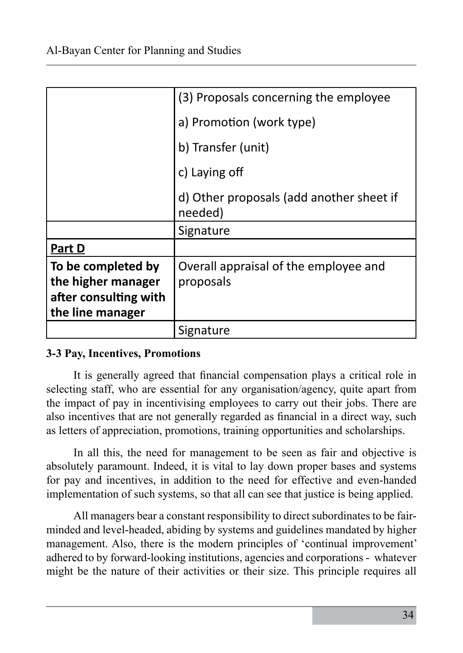|                                                                                       | (3) Proposals concerning the employee               |
|---------------------------------------------------------------------------------------|-----------------------------------------------------|
|                                                                                       | a) Promotion (work type)                            |
|                                                                                       | b) Transfer (unit)                                  |
|                                                                                       | c) Laying off                                       |
|                                                                                       | d) Other proposals (add another sheet if<br>needed) |
|                                                                                       | Signature                                           |
| Part D                                                                                |                                                     |
| To be completed by<br>the higher manager<br>after consulting with<br>the line manager | Overall appraisal of the employee and<br>proposals  |
|                                                                                       | Signature                                           |

# **3-3 Pay, Incentives, Promotions**

It is generally agreed that financial compensation plays a critical role in selecting staff, who are essential for any organisation/agency, quite apart from the impact of pay in incentivising employees to carry out their jobs. There are also incentives that are not generally regarded as financial in a direct way, such as letters of appreciation, promotions, training opportunities and scholarships.

In all this, the need for management to be seen as fair and objective is absolutely paramount. Indeed, it is vital to lay down proper bases and systems for pay and incentives, in addition to the need for effective and even-handed implementation of such systems, so that all can see that justice is being applied.

All managers bear a constant responsibility to direct subordinates to be fairminded and level-headed, abiding by systems and guidelines mandated by higher management. Also, there is the modern principles of 'continual improvement' adhered to by forward-looking institutions, agencies and corporations - whatever might be the nature of their activities or their size. This principle requires all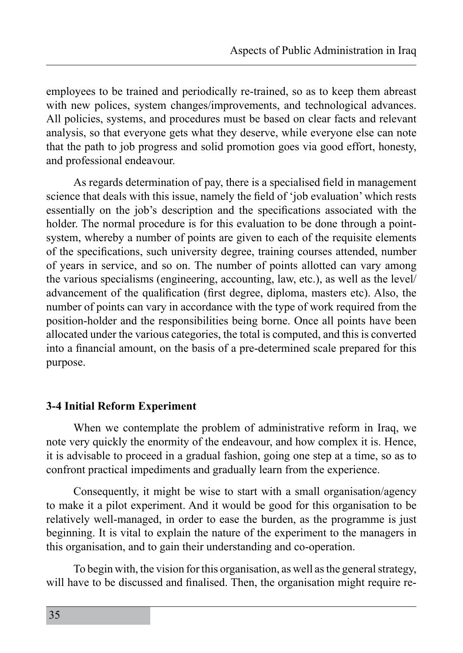employees to be trained and periodically re-trained, so as to keep them abreast with new polices, system changes/improvements, and technological advances. All policies, systems, and procedures must be based on clear facts and relevant analysis, so that everyone gets what they deserve, while everyone else can note that the path to job progress and solid promotion goes via good effort, honesty, and professional endeavour.

As regards determination of pay, there is a specialised field in management science that deals with this issue, namely the field of 'job evaluation' which rests essentially on the job's description and the specifications associated with the holder. The normal procedure is for this evaluation to be done through a pointsystem, whereby a number of points are given to each of the requisite elements of the specifications, such university degree, training courses attended, number of years in service, and so on. The number of points allotted can vary among the various specialisms (engineering, accounting, law, etc.), as well as the level/ advancement of the qualification (first degree, diploma, masters etc). Also, the number of points can vary in accordance with the type of work required from the position-holder and the responsibilities being borne. Once all points have been allocated under the various categories, the total is computed, and this is converted into a financial amount, on the basis of a pre-determined scale prepared for this purpose.

#### **3-4 Initial Reform Experiment**

When we contemplate the problem of administrative reform in Iraq, we note very quickly the enormity of the endeavour, and how complex it is. Hence, it is advisable to proceed in a gradual fashion, going one step at a time, so as to confront practical impediments and gradually learn from the experience.

Consequently, it might be wise to start with a small organisation/agency to make it a pilot experiment. And it would be good for this organisation to be relatively well-managed, in order to ease the burden, as the programme is just beginning. It is vital to explain the nature of the experiment to the managers in this organisation, and to gain their understanding and co-operation.

To begin with, the vision for this organisation, as well as the general strategy, will have to be discussed and finalised. Then, the organisation might require re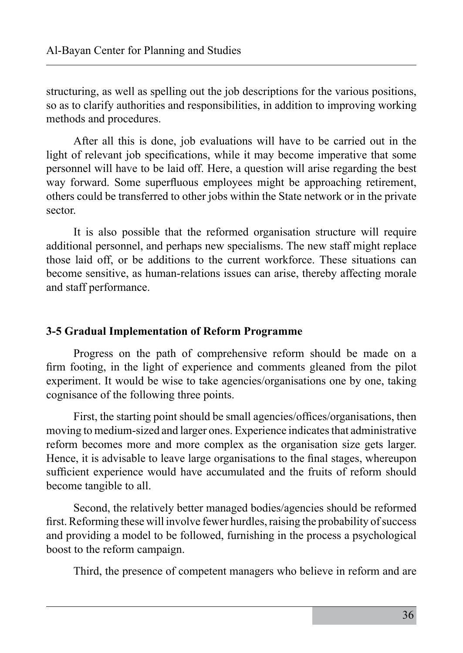structuring, as well as spelling out the job descriptions for the various positions, so as to clarify authorities and responsibilities, in addition to improving working methods and procedures.

After all this is done, job evaluations will have to be carried out in the light of relevant job specifications, while it may become imperative that some personnel will have to be laid off. Here, a question will arise regarding the best way forward. Some superfluous employees might be approaching retirement, others could be transferred to other jobs within the State network or in the private sector.

It is also possible that the reformed organisation structure will require additional personnel, and perhaps new specialisms. The new staff might replace those laid off, or be additions to the current workforce. These situations can become sensitive, as human-relations issues can arise, thereby affecting morale and staff performance.

# **3-5 Gradual Implementation of Reform Programme**

Progress on the path of comprehensive reform should be made on a firm footing, in the light of experience and comments gleaned from the pilot experiment. It would be wise to take agencies/organisations one by one, taking cognisance of the following three points.

First, the starting point should be small agencies/offices/organisations, then moving to medium-sized and larger ones. Experience indicates that administrative reform becomes more and more complex as the organisation size gets larger. Hence, it is advisable to leave large organisations to the final stages, whereupon sufficient experience would have accumulated and the fruits of reform should become tangible to all.

Second, the relatively better managed bodies/agencies should be reformed first. Reforming these will involve fewer hurdles, raising the probability of success and providing a model to be followed, furnishing in the process a psychological boost to the reform campaign.

Third, the presence of competent managers who believe in reform and are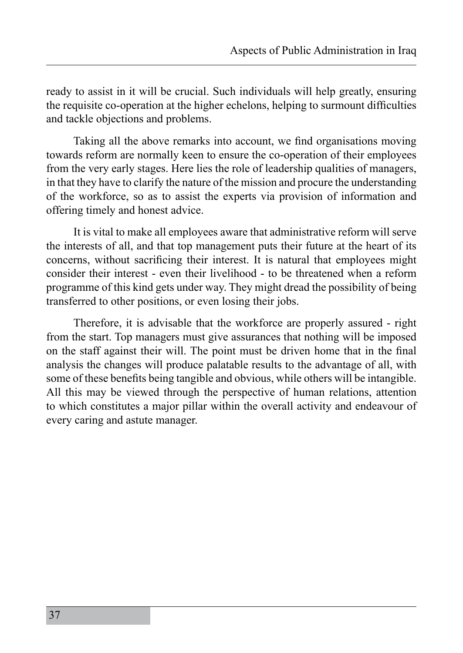ready to assist in it will be crucial. Such individuals will help greatly, ensuring the requisite co-operation at the higher echelons, helping to surmount difficulties and tackle objections and problems.

Taking all the above remarks into account, we find organisations moving towards reform are normally keen to ensure the co-operation of their employees from the very early stages. Here lies the role of leadership qualities of managers, in that they have to clarify the nature of the mission and procure the understanding of the workforce, so as to assist the experts via provision of information and offering timely and honest advice.

It is vital to make all employees aware that administrative reform will serve the interests of all, and that top management puts their future at the heart of its concerns, without sacrificing their interest. It is natural that employees might consider their interest - even their livelihood - to be threatened when a reform programme of this kind gets under way. They might dread the possibility of being transferred to other positions, or even losing their jobs.

Therefore, it is advisable that the workforce are properly assured - right from the start. Top managers must give assurances that nothing will be imposed on the staff against their will. The point must be driven home that in the final analysis the changes will produce palatable results to the advantage of all, with some of these benefits being tangible and obvious, while others will be intangible. All this may be viewed through the perspective of human relations, attention to which constitutes a major pillar within the overall activity and endeavour of every caring and astute manager.